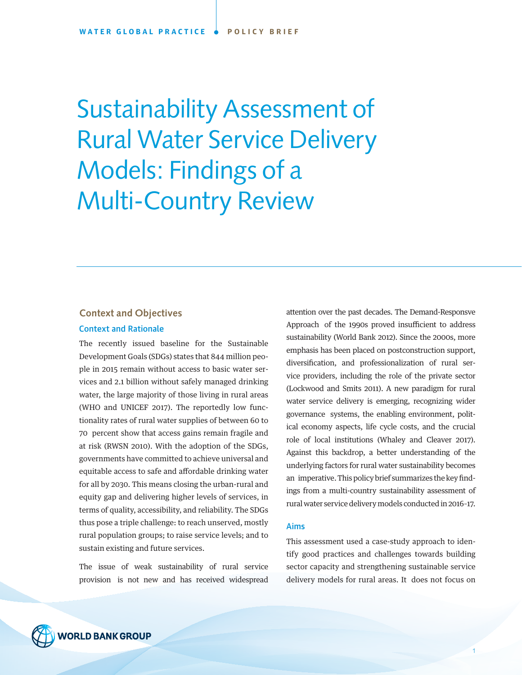Sustainability Assessment of Rural Water Service Delivery Models: Findings of a Multi-Country Review

# **Context and Objectives** Context and Rationale

The recently issued baseline for the Sustainable Development Goals (SDGs) states that 844 million people in 2015 remain without access to basic water services and 2.1 billion without safely managed drinking water, the large majority of those living in rural areas (WHO and UNICEF 2017). The reportedly low functionality rates of rural water supplies of between 60 to 70 percent show that access gains remain fragile and at risk (RWSN 2010). With the adoption of the SDGs, governments have committed to achieve universal and equitable access to safe and affordable drinking water for all by 2030. This means closing the urban-rural and equity gap and delivering higher levels of services, in terms of quality, accessibility, and reliability. The SDGs thus pose a triple challenge: to reach unserved, mostly rural population groups; to raise service levels; and to sustain existing and future services.

The issue of weak sustainability of rural service provision is not new and has received widespread

attention over the past decades. The Demand-Responsve Approach of the 1990s proved insufficient to address sustainability (World Bank 2012). Since the 2000s, more emphasis has been placed on postconstruction support, diversification, and professionalization of rural service providers, including the role of the private sector (Lockwood and Smits 2011). A new paradigm for rural water service delivery is emerging, recognizing wider governance systems, the enabling environment, political economy aspects, life cycle costs, and the crucial role of local institutions (Whaley and Cleaver 2017). Against this backdrop, a better understanding of the underlying factors for rural water sustainability becomes an imperative. This policy brief summarizes the key findings from a multi-country sustainability assessment of rural water service delivery models conducted in 2016–17.

### Aims

This assessment used a case-study approach to identify good practices and challenges towards building sector capacity and strengthening sustainable service delivery models for rural areas. It does not focus on



1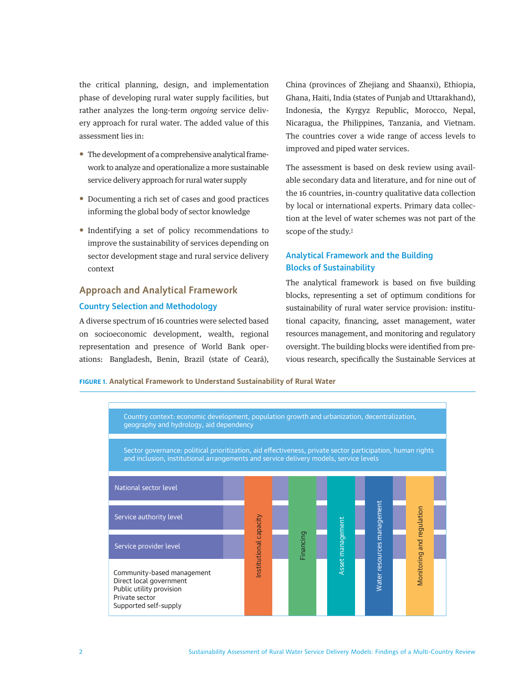<span id="page-1-0"></span>the critical planning, design, and implementation phase of developing rural water supply facilities, but rather analyzes the long-term *ongoing* service delivery approach for rural water. The added value of this assessment lies in:

- The development of a comprehensive analytical framework to analyze and operationalize a more sustainable service delivery approach for rural water supply
- Documenting a rich set of cases and good practices informing the global body of sector knowledge
- Indentifying a set of policy recommendations to improve the sustainability of services depending on sector development stage and rural service delivery context

# **Approach and Analytical Framework** Country Selection and Methodology

A diverse spectrum of 16 countries were selected based on socioeconomic development, wealth, regional representation and presence of World Bank operations: Bangladesh, Benin, Brazil (state of Ceará),

China (provinces of Zhejiang and Shaanxi), Ethiopia, Ghana, Haiti, India (states of Punjab and Uttarakhand), Indonesia, the Kyrgyz Republic, Morocco, Nepal, Nicaragua, the Philippines, Tanzania, and Vietnam. The countries cover a wide range of access levels to improved and piped water services.

The assessment is based on desk review using available secondary data and literature, and for nine out of the 16 countries, in-country qualitative data collection by local or international experts. Primary data collection at the level of water schemes was not part of the scope of the study.<sup>1</sup>

# Analytical Framework and the Building Blocks of Sustainability

The analytical framework is based on five building blocks, representing a set of optimum conditions for sustainability of rural water service provision: institutional capacity, financing, asset management, water resources management, and monitoring and regulatory oversight. The building blocks were identified from previous research, specifically the Sustainable Services at

**FIGURE 1. Analytical Framework to Understand Sustainability of Rural Water**

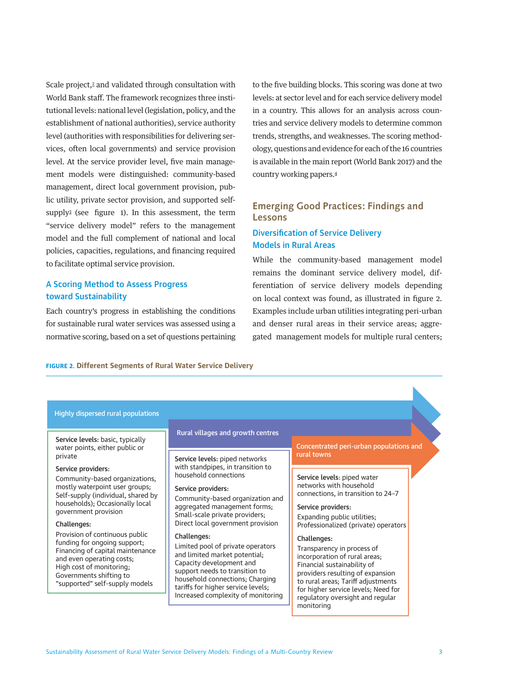<span id="page-2-0"></span>Scale project,<sup>2</sup> and validated through consultation with World Bank staff. The framework recognizes three institutional levels: national level (legislation, policy, and the establishment of national authorities), service authority level (authorities with responsibilities for delivering services, often local governments) and service provision level. At the service provider level, five main management models were distinguished: community-based management, direct local government provision, public utility, private sector provision, and supported selfsuppl[y3](#page-9-0) (see figure 1). In this assessment, the term "service delivery model" refers to the management model and the full complement of national and local policies, capacities, regulations, and financing required to facilitate optimal service provision.

# A Scoring Method to Assess Progress toward Sustainability

Each country's progress in establishing the conditions for sustainable rural water services was assessed using a normative scoring, based on a set of questions pertaining to the five building blocks. This scoring was done at two levels: at sector level and for each service delivery model in a country. This allows for an analysis across countries and service delivery models to determine common trends, strengths, and weaknesses. The scoring methodology, questions and evidence for each of the 16 countries is available in the main report (World Bank 2017) and the country working papers.[4](#page-9-0)

# **Emerging Good Practices: Findings and Lessons**

# Diversification of Service Delivery Models in Rural Areas

While the community-based management model remains the dominant service delivery model, differentiation of service delivery models depending on local context was found, as illustrated in figure 2. Examples include urban utilities integrating peri-urban and denser rural areas in their service areas; aggregated management models for multiple rural centers;

### **FIGURE 2. Different Segments of Rural Water Service Delivery**

### Highly dispersed rural populations

Service levels: basic, typically water points, either public or private

### Service providers:

Community-based organizations, mostly waterpoint user groups; Self-supply (individual, shared by households); Occasionally local government provision

### Challenges:

Provision of continuous public funding for ongoing support; Financing of capital maintenance and even operating costs; High cost of monitoring; Governments shifting to "supported" self-supply models

### Rural villages and growth centres

Service levels: piped networks with standpipes, in transition to household connections

### Service providers:

Community-based organization and aggregated management forms; Small-scale private providers; Direct local government provision

#### Challenges:

Limited pool of private operators and limited market potential; Capacity development and support needs to transition to household connections; Charging tariffs for higher service levels; Increased complexity of monitoring Concentrated peri-urban populations and rural towns

Service levels: piped water networks with household connections, in transition to 24–7

Service providers: Expanding public utilities; Professionalized (private) operators

### Challenges:

Transparency in process of incorporation of rural areas; Financial sustainability of providers resulting of expansion to rural areas; Tariff adjustments for higher service levels; Need for regulatory oversight and regular monitoring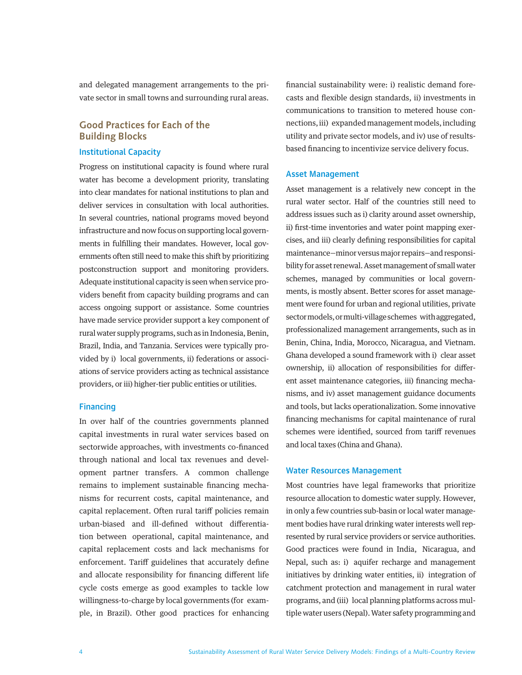and delegated management arrangements to the private sector in small towns and surrounding rural areas.

# **Good Practices for Each of the Building Blocks**

## Institutional Capacity

Progress on institutional capacity is found where rural water has become a development priority, translating into clear mandates for national institutions to plan and deliver services in consultation with local authorities. In several countries, national programs moved beyond infrastructure and now focus on supporting local governments in fulfilling their mandates. However, local governments often still need to make this shift by prioritizing postconstruction support and monitoring providers. Adequate institutional capacity is seen when service providers benefit from capacity building programs and can access ongoing support or assistance. Some countries have made service provider support a key component of rural water supply programs, such as in Indonesia, Benin, Brazil, India, and Tanzania. Services were typically provided by i) local governments, ii) federations or associations of service providers acting as technical assistance providers, or iii) higher-tier public entities or utilities.

### Financing

In over half of the countries governments planned capital investments in rural water services based on sectorwide approaches, with investments co-financed through national and local tax revenues and development partner transfers. A common challenge remains to implement sustainable financing mechanisms for recurrent costs, capital maintenance, and capital replacement. Often rural tariff policies remain urban-biased and ill-defined without differentiation between operational, capital maintenance, and capital replacement costs and lack mechanisms for enforcement. Tariff guidelines that accurately define and allocate responsibility for financing different life cycle costs emerge as good examples to tackle low willingness-to-charge by local governments (for example, in Brazil). Other good practices for enhancing

financial sustainability were: i) realistic demand forecasts and flexible design standards, ii) investments in communications to transition to metered house connections, iii) expanded management models, including utility and private sector models, and iv) use of resultsbased financing to incentivize service delivery focus.

### Asset Management

Asset management is a relatively new concept in the rural water sector. Half of the countries still need to address issues such as i) clarity around asset ownership, ii) first-time inventories and water point mapping exercises, and iii) clearly defining responsibilities for capital maintenance—minor versus major repairs—and responsibility for asset renewal. Asset management of small water schemes, managed by communities or local governments, is mostly absent. Better scores for asset management were found for urban and regional utilities, private sector models, or multi-village schemes with aggregated, professionalized management arrangements, such as in Benin, China, India, Morocco, Nicaragua, and Vietnam. Ghana developed a sound framework with i) clear asset ownership, ii) allocation of responsibilities for different asset maintenance categories, iii) financing mechanisms, and iv) asset management guidance documents and tools, but lacks operationalization. Some innovative financing mechanisms for capital maintenance of rural schemes were identified, sourced from tariff revenues and local taxes (China and Ghana).

### Water Resources Management

Most countries have legal frameworks that prioritize resource allocation to domestic water supply. However, in only a few countries sub-basin or local water management bodies have rural drinking water interests well represented by rural service providers or service authorities. Good practices were found in India, Nicaragua, and Nepal, such as: i) aquifer recharge and management initiatives by drinking water entities, ii) integration of catchment protection and management in rural water programs, and (iii) local planning platforms across multiple water users (Nepal). Water safety programming and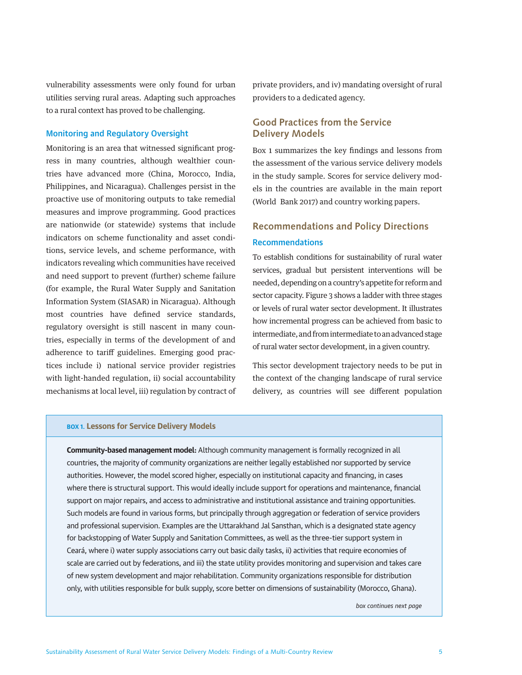vulnerability assessments were only found for urban utilities serving rural areas. Adapting such approaches to a rural context has proved to be challenging.

## Monitoring and Regulatory Oversight

Monitoring is an area that witnessed significant progress in many countries, although wealthier countries have advanced more (China, Morocco, India, Philippines, and Nicaragua). Challenges persist in the proactive use of monitoring outputs to take remedial measures and improve programming. Good practices are nationwide (or statewide) systems that include indicators on scheme functionality and asset conditions, service levels, and scheme performance, with indicators revealing which communities have received and need support to prevent (further) scheme failure (for example, the Rural Water Supply and Sanitation Information System (SIASAR) in Nicaragua). Although most countries have defined service standards, regulatory oversight is still nascent in many countries, especially in terms of the development of and adherence to tariff guidelines. Emerging good practices include i) national service provider registries with light-handed regulation, ii) social accountability mechanisms at local level, iii) regulation by contract of

private providers, and iv) mandating oversight of rural providers to a dedicated agency.

# **Good Practices from the Service Delivery Models**

Box 1 summarizes the key findings and lessons from the assessment of the various service delivery models in the study sample. Scores for service delivery models in the countries are available in the main report (World Bank 2017) and country working papers.

# **Recommendations and Policy Directions** Recommendations

To establish conditions for sustainability of rural water services, gradual but persistent interventions will be needed, depending on a country's appetite for reform and sector capacity. Figure 3 shows a ladder with three stages or levels of rural water sector development. It illustrates how incremental progress can be achieved from basic to intermediate, and from intermediate to an advanced stage of rural water sector development, in a given country.

This sector development trajectory needs to be put in the context of the changing landscape of rural service delivery, as countries will see different population

### **BOX 1. Lessons for Service Delivery Models**

**Community-based management model:** Although community management is formally recognized in all countries, the majority of community organizations are neither legally established nor supported by service authorities. However, the model scored higher, especially on institutional capacity and financing, in cases where there is structural support. This would ideally include support for operations and maintenance, financial support on major repairs, and access to administrative and institutional assistance and training opportunities. Such models are found in various forms, but principally through aggregation or federation of service providers and professional supervision. Examples are the Uttarakhand Jal Sansthan, which is a designated state agency for backstopping of Water Supply and Sanitation Committees, as well as the three-tier support system in Ceará, where i) water supply associations carry out basic daily tasks, ii) activities that require economies of scale are carried out by federations, and iii) the state utility provides monitoring and supervision and takes care of new system development and major rehabilitation. Community organizations responsible for distribution only, with utilities responsible for bulk supply, score better on dimensions of sustainability (Morocco, Ghana).

*box continues next page*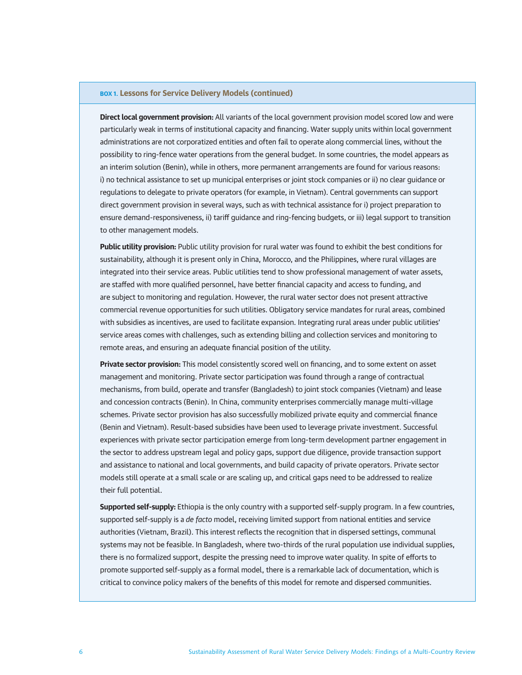### **BOX 1. Lessons for Service Delivery Models (continued)**

**Direct local government provision:** All variants of the local government provision model scored low and were particularly weak in terms of institutional capacity and financing. Water supply units within local government administrations are not corporatized entities and often fail to operate along commercial lines, without the possibility to ring-fence water operations from the general budget. In some countries, the model appears as an interim solution (Benin), while in others, more permanent arrangements are found for various reasons: i) no technical assistance to set up municipal enterprises or joint stock companies or ii) no clear guidance or regulations to delegate to private operators (for example, in Vietnam). Central governments can support direct government provision in several ways, such as with technical assistance for i) project preparation to ensure demand-responsiveness, ii) tariff guidance and ring-fencing budgets, or iii) legal support to transition to other management models.

**Public utility provision:** Public utility provision for rural water was found to exhibit the best conditions for sustainability, although it is present only in China, Morocco, and the Philippines, where rural villages are integrated into their service areas. Public utilities tend to show professional management of water assets, are staffed with more qualified personnel, have better financial capacity and access to funding, and are subject to monitoring and regulation. However, the rural water sector does not present attractive commercial revenue opportunities for such utilities. Obligatory service mandates for rural areas, combined with subsidies as incentives, are used to facilitate expansion. Integrating rural areas under public utilities' service areas comes with challenges, such as extending billing and collection services and monitoring to remote areas, and ensuring an adequate financial position of the utility.

**Private sector provision:** This model consistently scored well on financing, and to some extent on asset management and monitoring. Private sector participation was found through a range of contractual mechanisms, from build, operate and transfer (Bangladesh) to joint stock companies (Vietnam) and lease and concession contracts (Benin). In China, community enterprises commercially manage multi-village schemes. Private sector provision has also successfully mobilized private equity and commercial finance (Benin and Vietnam). Result-based subsidies have been used to leverage private investment. Successful experiences with private sector participation emerge from long-term development partner engagement in the sector to address upstream legal and policy gaps, support due diligence, provide transaction support and assistance to national and local governments, and build capacity of private operators. Private sector models still operate at a small scale or are scaling up, and critical gaps need to be addressed to realize their full potential.

**Supported self-supply:** Ethiopia is the only country with a supported self-supply program. In a few countries, supported self-supply is a *de facto* model, receiving limited support from national entities and service authorities (Vietnam, Brazil). This interest reflects the recognition that in dispersed settings, communal systems may not be feasible. In Bangladesh, where two-thirds of the rural population use individual supplies, there is no formalized support, despite the pressing need to improve water quality. In spite of efforts to promote supported self-supply as a formal model, there is a remarkable lack of documentation, which is critical to convince policy makers of the benefits of this model for remote and dispersed communities.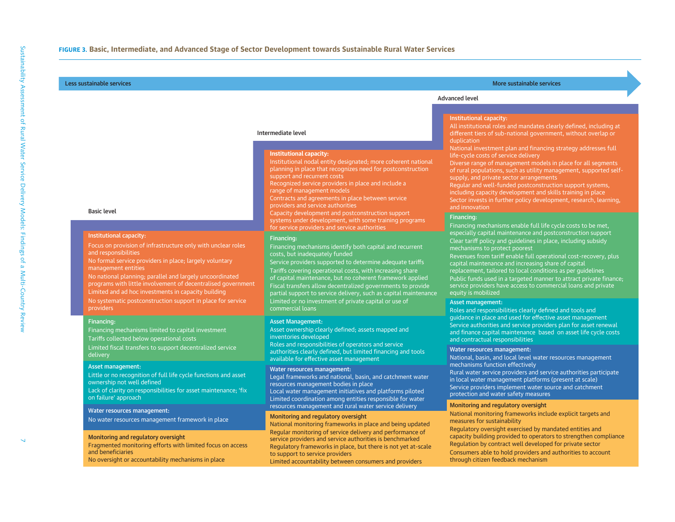#### Intermediate level

#### **Institutional capacity:**

Institutional nodal entity designated; more coherent national planning in place that recognizes need for postconstruction support and recurrent costs

Recognized service providers in place and include a range of management models

Contracts and agreements in place between service providers and service authorities

Capacity development and postconstruction support systems under development, with some training programs for service providers and service authorities

#### Financing:

Financing mechanisms identify both capital and recurrent costs, but inadequately funded

<sup>7</sup> **FIGURE 3. Basic, Intermediate, and Advanced Stage of Sector Development towards Sustainable Rural Water Services** Less sustainable services More sustainable services Asset management: Little or no recognition of full life cycle functions and asset ownership not well defined Lack of clarity on responsibilities for asset maintenance; 'fix on failure' approach No water resources management framework in place Monitoring and regulatory oversight Service providers supported to determine adequate tariffs Tariffs covering operational costs, with increasing share of capital maintenance, but no coherent framework applied Fiscal transfers allow decentralized governments to provide partial support to service delivery, such as capital maintenance Limited or no investment of private capital or use of commercial loans

#### Asset Management:

Asset ownership clearly defined; assets mapped and inventories developed

Roles and responsibilities of operators and service authorities clearly defined, but limited financing and tools available for effective asset management

#### Water resources management:

Legal frameworks and national, basin, and catchment water resources management bodies in place

Local water management initiatives and platforms piloted Limited coordination among entities responsible for water resources management and rural water service delivery

#### Monitoring and regulatory oversight

National monitoring frameworks in place and being updated Regular monitoring of service delivery and performance of service providers and service authorities is benchmarked Regulatory frameworks in place, but there is not yet at-scale to support to service providers Limited accountability between consumers and providers

# Advanced level

#### Institutional capacity:

All institutional roles and mandates clearly defined, including at different tiers of sub-national government, without overlap or duplication

National investment plan and financing strategy addresses full life-cycle costs of service delivery

Diverse range of management models in place for all segments of rural populations, such as utility management, supported selfsupply, and private sector arrangements

Regular and well-funded postconstruction support systems, including capacity development and skills training in place Sector invests in further policy development, research, learning, and innovation

#### Financing:

Financing mechanisms enable full life cycle costs to be met, especially capital maintenance and postconstruction support Clear tariff policy and guidelines in place, including subsidy mechanisms to protect poorest

Revenues from tariff enable full operational cost-recovery, plus capital maintenance and increasing share of capital replacement, tailored to local conditions as per guidelines Public funds used in a targeted manner to attract private finance; service providers have access to commercial loans and private equity is mobilized

#### Asset management:

Roles and responsibilities clearly defined and tools and quidance in place and used for effective asset management Service authorities and service providers plan for asset renewal and finance capital maintenance based on asset life cycle costs and contractual responsibilities

#### Water resources management:

National, basin, and local level water resources management mechanisms function effectively Rural water service providers and service authorities participate in local water management platforms (present at scale)

Service providers implement water source and catchment protection and water safety measures

#### Monitoring and regulatory oversight

National monitoring frameworks include explicit targets and measures for sustainability

Regulatory oversight exercised by mandated entities and capacity building provided to operators to strengthen compliance Regulation by contract well developed for private sector Consumers able to hold providers and authorities to account through citizen feedback mechanism

### Basic level

### Institutional capacity:

Focus on provision of infrastructure only with unclear roles and responsibilities

No formal service providers in place; largely voluntary management entities

Limited and ad hoc investments in capacity building No national planning; parallel and largely uncoordinated programs with little involvement of decentralised government No systematic postconstruction support in place for service providers

#### Financing:

Financing mechanisms limited to capital investment Tariffs collected below operational costs Limited fiscal transfers to support decentralized service

#### Asset management:

#### Water resources management:

Fragmented monitoring efforts with limited focus on access and beneficiariesNo oversight or accountability mechanisms in place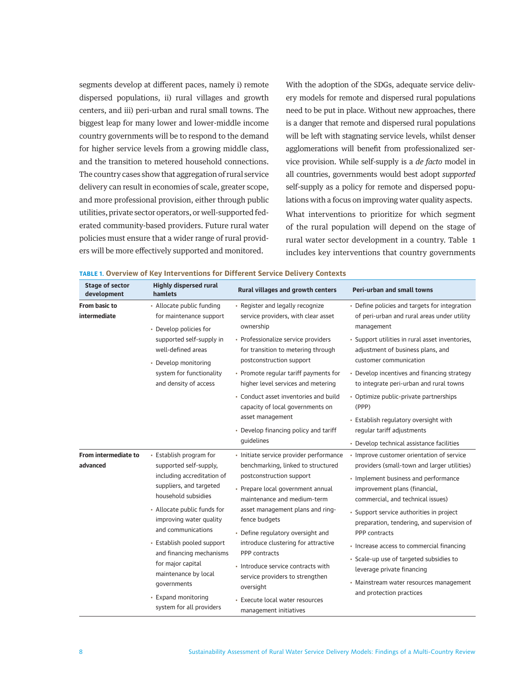segments develop at different paces, namely i) remote dispersed populations, ii) rural villages and growth centers, and iii) peri-urban and rural small towns. The biggest leap for many lower and lower-middle income country governments will be to respond to the demand for higher service levels from a growing middle class, and the transition to metered household connections. The country cases show that aggregation of rural service delivery can result in economies of scale, greater scope, and more professional provision, either through public utilities, private sector operators, or well-supported federated community-based providers. Future rural water policies must ensure that a wider range of rural providers will be more effectively supported and monitored.

With the adoption of the SDGs, adequate service delivery models for remote and dispersed rural populations need to be put in place. Without new approaches, there is a danger that remote and dispersed rural populations will be left with stagnating service levels, whilst denser agglomerations will benefit from professionalized service provision. While self-supply is a *de facto* model in all countries, governments would best adopt *supported* self-supply as a policy for remote and dispersed populations with a focus on improving water quality aspects. What interventions to prioritize for which segment of the rural population will depend on the stage of rural water sector development in a country. Table 1

includes key interventions that country governments

| <b>Stage of sector</b><br>development | <b>Highly dispersed rural</b><br>hamlets                                                                                                                                                                                                                                                                                                                                                   | Rural villages and growth centers                                                                                                                                                                                                                                                                                                                                                                                                                                                  | Peri-urban and small towns                                                                                                                                                                                                                                                                                                                                                                                                                                                                                     |
|---------------------------------------|--------------------------------------------------------------------------------------------------------------------------------------------------------------------------------------------------------------------------------------------------------------------------------------------------------------------------------------------------------------------------------------------|------------------------------------------------------------------------------------------------------------------------------------------------------------------------------------------------------------------------------------------------------------------------------------------------------------------------------------------------------------------------------------------------------------------------------------------------------------------------------------|----------------------------------------------------------------------------------------------------------------------------------------------------------------------------------------------------------------------------------------------------------------------------------------------------------------------------------------------------------------------------------------------------------------------------------------------------------------------------------------------------------------|
| From basic to<br>intermediate         | • Allocate public funding<br>for maintenance support<br>• Develop policies for                                                                                                                                                                                                                                                                                                             | • Register and legally recognize<br>service providers, with clear asset<br>ownership                                                                                                                                                                                                                                                                                                                                                                                               | • Define policies and targets for integration<br>of peri-urban and rural areas under utility<br>management                                                                                                                                                                                                                                                                                                                                                                                                     |
|                                       | supported self-supply in<br>well-defined areas<br>• Develop monitoring<br>system for functionality<br>and density of access                                                                                                                                                                                                                                                                | • Professionalize service providers<br>for transition to metering through<br>postconstruction support                                                                                                                                                                                                                                                                                                                                                                              | · Support utilities in rural asset inventories,<br>adjustment of business plans, and<br>customer communication                                                                                                                                                                                                                                                                                                                                                                                                 |
|                                       |                                                                                                                                                                                                                                                                                                                                                                                            | • Promote regular tariff payments for<br>higher level services and metering                                                                                                                                                                                                                                                                                                                                                                                                        | • Develop incentives and financing strategy<br>to integrate peri-urban and rural towns                                                                                                                                                                                                                                                                                                                                                                                                                         |
|                                       |                                                                                                                                                                                                                                                                                                                                                                                            | • Conduct asset inventories and build<br>capacity of local governments on                                                                                                                                                                                                                                                                                                                                                                                                          | • Optimize public-private partnerships<br>(PPP)                                                                                                                                                                                                                                                                                                                                                                                                                                                                |
|                                       |                                                                                                                                                                                                                                                                                                                                                                                            | asset management<br>• Develop financing policy and tariff<br>quidelines                                                                                                                                                                                                                                                                                                                                                                                                            | • Establish regulatory oversight with<br>regular tariff adjustments<br>• Develop technical assistance facilities                                                                                                                                                                                                                                                                                                                                                                                               |
| From intermediate to<br>advanced      | • Establish program for<br>supported self-supply,<br>including accreditation of<br>suppliers, and targeted<br>household subsidies<br>• Allocate public funds for<br>improving water quality<br>and communications<br>• Establish pooled support<br>and financing mechanisms<br>for major capital<br>maintenance by local<br>governments<br>• Expand monitoring<br>system for all providers | · Initiate service provider performance<br>benchmarking, linked to structured<br>postconstruction support<br>• Prepare local government annual<br>maintenance and medium-term<br>asset management plans and ring-<br>fence budgets<br>• Define regulatory oversight and<br>introduce clustering for attractive<br>PPP contracts<br>· Introduce service contracts with<br>service providers to strengthen<br>oversight<br>• Execute local water resources<br>management initiatives | • Improve customer orientation of service<br>providers (small-town and larger utilities)<br>• Implement business and performance<br>improvement plans (financial,<br>commercial, and technical issues)<br>• Support service authorities in project<br>preparation, tendering, and supervision of<br>PPP contracts<br>• Increase access to commercial financing<br>• Scale-up use of targeted subsidies to<br>leverage private financing<br>• Mainstream water resources management<br>and protection practices |

#### **TABLE 1. Overview of Key Interventions for Different Service Delivery Contexts**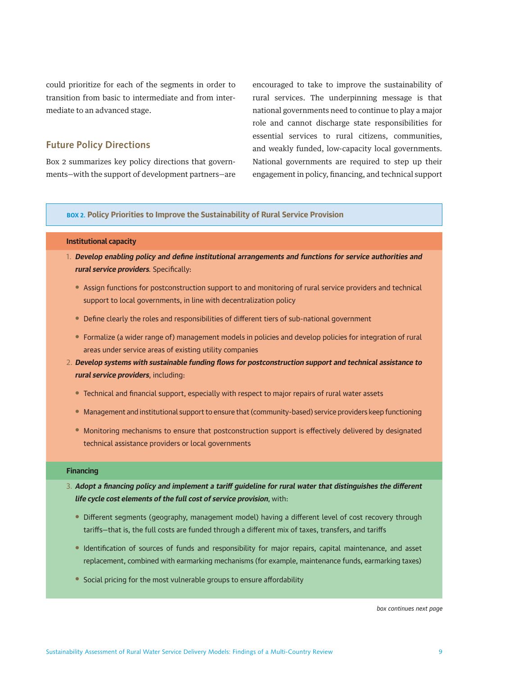could prioritize for each of the segments in order to transition from basic to intermediate and from intermediate to an advanced stage.

# **Future Policy Directions**

Box 2 summarizes key policy directions that governments—with the support of development partners—are encouraged to take to improve the sustainability of rural services. The underpinning message is that national governments need to continue to play a major role and cannot discharge state responsibilities for essential services to rural citizens, communities, and weakly funded, low-capacity local governments. National governments are required to step up their engagement in policy, financing, and technical support

## **BOX 2. Policy Priorities to Improve the Sustainability of Rural Service Provision**

### **Institutional capacity**

- 1. **Develop enabling policy and define institutional arrangements and functions for service authorities and rural service providers***.* Specifically:
	- Assign functions for postconstruction support to and monitoring of rural service providers and technical support to local governments, in line with decentralization policy
	- Define clearly the roles and responsibilities of different tiers of sub-national government
	- Formalize (a wider range of) management models in policies and develop policies for integration of rural areas under service areas of existing utility companies
- 2. **Develop systems with sustainable funding flows for postconstruction support and technical assistance to rural service providers**, including:
	- Technical and financial support, especially with respect to major repairs of rural water assets
	- Management and institutional support to ensure that (community-based) service providers keep functioning
	- Monitoring mechanisms to ensure that postconstruction support is effectively delivered by designated technical assistance providers or local governments

### **Financing**

- 3. **Adopt a financing policy and implement a tariff guideline for rural water that distinguishes the different life cycle cost elements of the full cost of service provision**, with:
	- Different segments (geography, management model) having a different level of cost recovery through tariffs—that is, the full costs are funded through a different mix of taxes, transfers, and tariffs
	- Identification of sources of funds and responsibility for major repairs, capital maintenance, and asset replacement, combined with earmarking mechanisms (for example, maintenance funds, earmarking taxes)
	- Social pricing for the most vulnerable groups to ensure affordability

*box continues next page*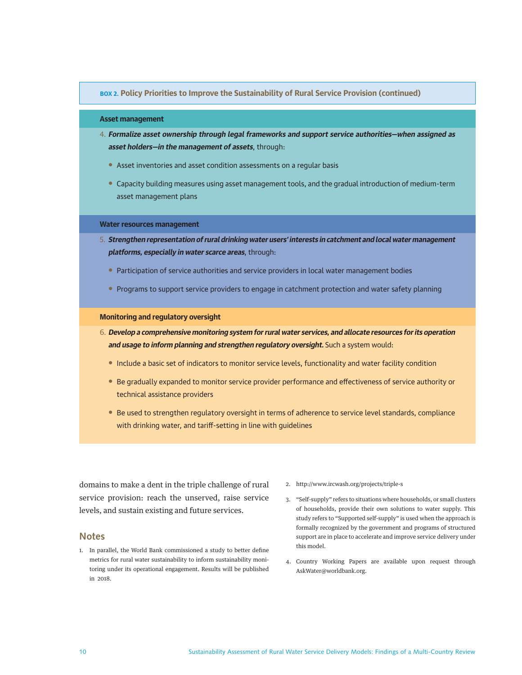### <span id="page-9-0"></span>**BOX 2. Policy Priorities to Improve the Sustainability of Rural Service Provision (continued)**

### **Asset management**

- 4. **Formalize asset ownership through legal frameworks and support service authorities—when assigned as asset holders—in the management of assets**, through:
	- Asset inventories and asset condition assessments on a regular basis
	- Capacity building measures using asset management tools, and the gradual introduction of medium-term asset management plans

### **Water resources management**

- 5. **Strengthen representation of rural drinking water users' interests in catchment and local water management platforms, especially in water scarce areas**, through:
	- Participation of service authorities and service providers in local water management bodies
	- Programs to support service providers to engage in catchment protection and water safety planning

### **Monitoring and regulatory oversight**

- 6. **Develop a comprehensive monitoring system for rural water services, and allocate resources for its operation and usage to inform planning and strengthen regulatory oversight.** Such a system would:
	- Include a basic set of indicators to monitor service levels, functionality and water facility condition
	- Be gradually expanded to monitor service provider performance and effectiveness of service authority or technical assistance providers
	- Be used to strengthen regulatory oversight in terms of adherence to service level standards, compliance with drinking water, and tariff-setting in line with guidelines

domains to make a dent in the triple challenge of rural service provision: reach the unserved, raise service levels, and sustain existing and future services.

## **Notes**

- 1. [In parallel, the World Bank commissioned a study to better define](#page-1-0)  [metrics for rural water sustainability to inform sustainability moni](#page-1-0)[toring under its operational engagement. Results will be published](#page-1-0)  [in 2018.](#page-1-0)
- [2.](#page-2-0) <http://www.ircwash.org/projects/triple-s>
- 3. ["Self-supply" refers to situations where households, or small clusters](#page-2-0)  [of households, provide their own solutions to water supply. This](#page-2-0)  [study refers to "Supported self-supply" is used when the approach is](#page-2-0)  [formally recognized by the government and programs of structured](#page-2-0) [support are in place to accelerate and improve service delivery under](#page-2-0)  [this model.](#page-2-0)
- 4. [Country Working Papers are available upon request through](#page-2-0) [AskWater@worldbank.org](mailto:AskWater@worldbank.org).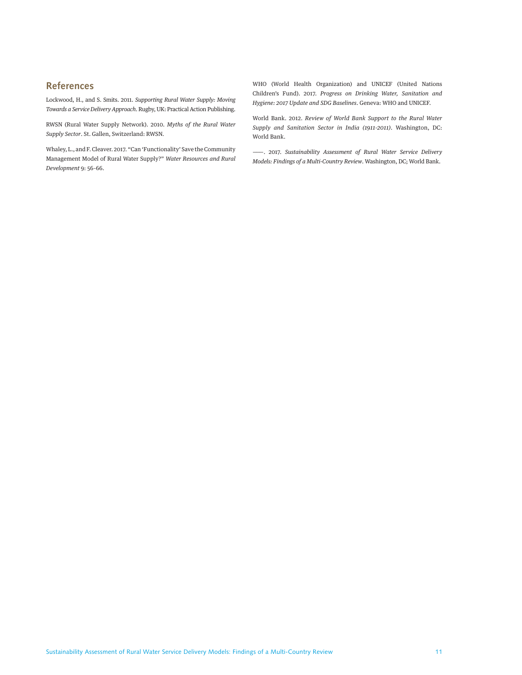# **References**

Lockwood, H., and S. Smits. 2011. *Supporting Rural Water Supply: Moving Towards a Service Delivery Approach*. Rugby, UK: Practical Action Publishing.

RWSN (Rural Water Supply Network). 2010. *Myths of the Rural Water Supply Sector*. St. Gallen, Switzerland: RWSN.

Whaley, L., and F. Cleaver. 2017. "Can 'Functionality' Save the Community Management Model of Rural Water Supply?" *Water Resources and Rural Development* 9: 56–66.

WHO (World Health Organization) and UNICEF (United Nations Children's Fund). 2017. *Progress on Drinking Water, Sanitation and Hygiene: 2017 Update and SDG Baselines*. Geneva: WHO and UNICEF.

World Bank. 2012. *Review of World Bank Support to the Rural Water Supply and Sanitation Sector in India (1911-2011)*. Washington, DC: World Bank.

———. 2017. *Sustainability Assessment of Rural Water Service Delivery Models: Findings of a Multi-Country Review*. Washington, DC; World Bank.